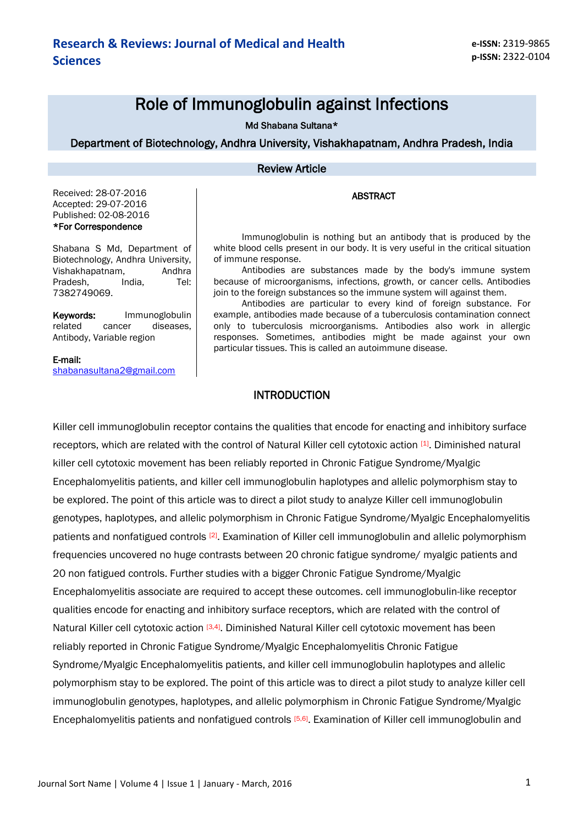# Role of Immunoglobulin against Infections

Md Shabana Sultana\*

Department of Biotechnology, Andhra University, Vishakhapatnam, Andhra Pradesh, India

#### Review Article

ABSTRACT

Immunoglobulin is nothing but an antibody that is produced by the white blood cells present in our body. It is very useful in the critical situation

Received: 28-07-2016 Accepted: 29-07-2016 Published: 02-08-2016 \*For Correspondence

Shabana S Md, Department of Biotechnology, Andhra University, Vishakhapatnam, Andhra Pradesh, India, Tel: 7382749069.

Keywords: Immunoglobulin related cancer diseases, Antibody, Variable region

of immune response. Antibodies are substances made by the body's immune system because of microorganisms, infections, growth, or cancer cells. Antibodies join to the foreign substances so the immune system will against them.

Antibodies are particular to every kind of foreign substance. For example, antibodies made because of a tuberculosis contamination connect only to tuberculosis microorganisms. Antibodies also work in allergic responses. Sometimes, antibodies might be made against your own particular tissues. This is called an autoimmune disease.

#### E-mail:

[shabanasultana2@gmail.com](mailto:shabanasultana2@gmail.com) 

#### **INTRODUCTION**

Killer cell immunoglobulin receptor contains the qualities that encode for enacting and inhibitory surface receptors, which are related with the control of Natural Killer cell cytotoxic action [1]. Diminished natural killer cell cytotoxic movement has been reliably reported in Chronic Fatigue Syndrome/Myalgic Encephalomyelitis patients, and killer cell immunoglobulin haplotypes and allelic polymorphism stay to be explored. The point of this article was to direct a pilot study to analyze Killer cell immunoglobulin genotypes, haplotypes, and allelic polymorphism in Chronic Fatigue Syndrome/Myalgic Encephalomyelitis patients and nonfatigued controls <sup>[2]</sup>. Examination of Killer cell immunoglobulin and allelic polymorphism frequencies uncovered no huge contrasts between 20 chronic fatigue syndrome/ myalgic patients and 20 non fatigued controls. Further studies with a bigger Chronic Fatigue Syndrome/Myalgic Encephalomyelitis associate are required to accept these outcomes. cell immunoglobulin-like receptor qualities encode for enacting and inhibitory surface receptors, which are related with the control of Natural Killer cell cytotoxic action [3,4]. Diminished Natural Killer cell cytotoxic movement has been reliably reported in Chronic Fatigue Syndrome/Myalgic Encephalomyelitis Chronic Fatigue Syndrome/Myalgic Encephalomyelitis patients, and killer cell immunoglobulin haplotypes and allelic polymorphism stay to be explored. The point of this article was to direct a pilot study to analyze killer cell immunoglobulin genotypes, haplotypes, and allelic polymorphism in Chronic Fatigue Syndrome/Myalgic Encephalomyelitis patients and nonfatigued controls [5,6]. Examination of Killer cell immunoglobulin and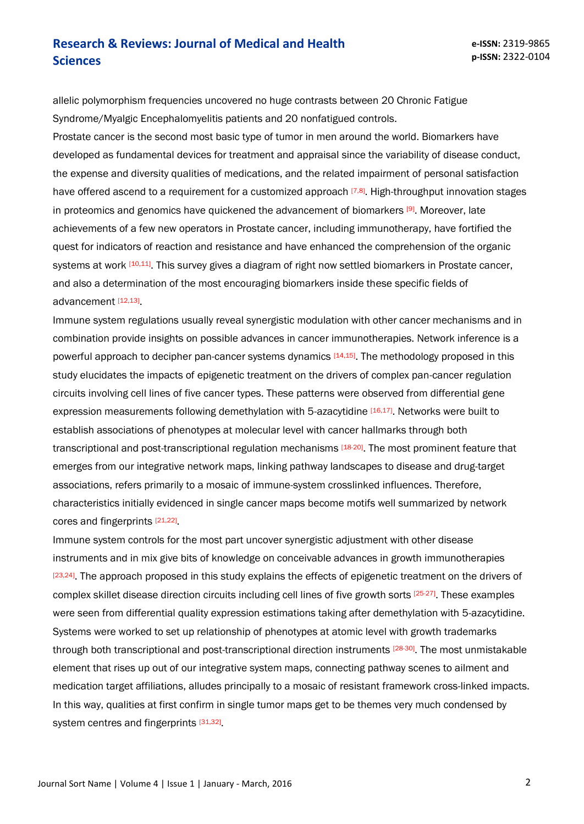allelic polymorphism frequencies uncovered no huge contrasts between 20 Chronic Fatigue Syndrome/Myalgic Encephalomyelitis patients and 20 nonfatigued controls.

Prostate cancer is the second most basic type of tumor in men around the world. Biomarkers have developed as fundamental devices for treatment and appraisal since the variability of disease conduct, the expense and diversity qualities of medications, and the related impairment of personal satisfaction have offered ascend to a requirement for a customized approach  $[7,8]$ . High-throughput innovation stages in proteomics and genomics have quickened the advancement of biomarkers [9]. Moreover, late achievements of a few new operators in Prostate cancer, including immunotherapy, have fortified the quest for indicators of reaction and resistance and have enhanced the comprehension of the organic systems at work <sup>[10,11]</sup>. This survey gives a diagram of right now settled biomarkers in Prostate cancer, and also a determination of the most encouraging biomarkers inside these specific fields of advancement<sup>[12,13]</sup>

Immune system regulations usually reveal synergistic modulation with other cancer mechanisms and in combination provide insights on possible advances in cancer immunotherapies. Network inference is a powerful approach to decipher pan-cancer systems dynamics [14,15]. The methodology proposed in this study elucidates the impacts of epigenetic treatment on the drivers of complex pan-cancer regulation circuits involving cell lines of five cancer types. These patterns were observed from differential gene expression measurements following demethylation with 5-azacytidine [16,17]. Networks were built to establish associations of phenotypes at molecular level with cancer hallmarks through both transcriptional and post-transcriptional regulation mechanisms [18-20]. The most prominent feature that emerges from our integrative network maps, linking pathway landscapes to disease and drug-target associations, refers primarily to a mosaic of immune-system crosslinked influences. Therefore, characteristics initially evidenced in single cancer maps become motifs well summarized by network cores and fingerprints [21,22].

Immune system controls for the most part uncover synergistic adjustment with other disease instruments and in mix give bits of knowledge on conceivable advances in growth immunotherapies [23,24]. The approach proposed in this study explains the effects of epigenetic treatment on the drivers of complex skillet disease direction circuits including cell lines of five growth sorts [25-27]. These examples were seen from differential quality expression estimations taking after demethylation with 5-azacytidine. Systems were worked to set up relationship of phenotypes at atomic level with growth trademarks through both transcriptional and post-transcriptional direction instruments [28-30]. The most unmistakable element that rises up out of our integrative system maps, connecting pathway scenes to ailment and medication target affiliations, alludes principally to a mosaic of resistant framework cross-linked impacts. In this way, qualities at first confirm in single tumor maps get to be themes very much condensed by system centres and fingerprints [31,32].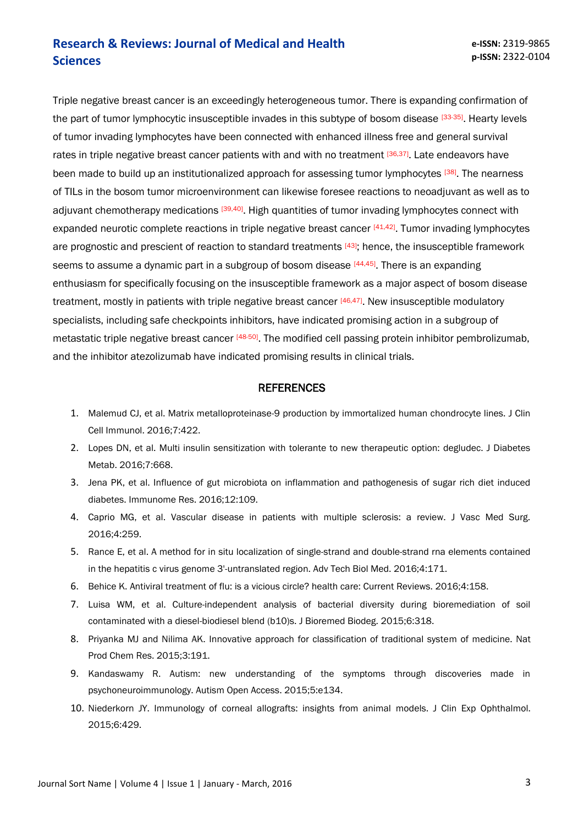Triple negative breast cancer is an exceedingly heterogeneous tumor. There is expanding confirmation of the part of tumor lymphocytic insusceptible invades in this subtype of bosom disease [33-35]. Hearty levels of tumor invading lymphocytes have been connected with enhanced illness free and general survival rates in triple negative breast cancer patients with and with no treatment [36,37]. Late endeavors have been made to build up an institutionalized approach for assessing tumor lymphocytes [38]. The nearness of TILs in the bosom tumor microenvironment can likewise foresee reactions to neoadjuvant as well as to adjuvant chemotherapy medications [39,40]. High quantities of tumor invading lymphocytes connect with expanded neurotic complete reactions in triple negative breast cancer [41,42]. Tumor invading lymphocytes are prognostic and prescient of reaction to standard treatments [43]; hence, the insusceptible framework seems to assume a dynamic part in a subgroup of bosom disease [44,45]. There is an expanding enthusiasm for specifically focusing on the insusceptible framework as a major aspect of bosom disease treatment, mostly in patients with triple negative breast cancer [46,47]. New insusceptible modulatory specialists, including safe checkpoints inhibitors, have indicated promising action in a subgroup of metastatic triple negative breast cancer [48-50]. The modified cell passing protein inhibitor pembrolizumab, and the inhibitor atezolizumab have indicated promising results in clinical trials.

#### **REFERENCES**

- 1. Malemud CJ, et al. Matrix metalloproteinase-9 production by immortalized human chondrocyte lines. J Clin Cell Immunol. 2016;7:422.
- 2. Lopes DN, et al. Multi insulin sensitization with tolerante to new therapeutic option: degludec. J Diabetes Metab. 2016;7:668.
- 3. Jena PK, et al. Influence of gut microbiota on inflammation and pathogenesis of sugar rich diet induced diabetes. Immunome Res. 2016;12:109.
- 4. Caprio MG, et al. Vascular disease in patients with multiple sclerosis: a review. J Vasc Med Surg. 2016;4:259.
- 5. Rance E, et al. A method for in situ localization of single-strand and double-strand rna elements contained in the hepatitis c virus genome 3'-untranslated region. Adv Tech Biol Med. 2016;4:171.
- 6. Behice K. Antiviral treatment of flu: is a vicious circle? health care: Current Reviews. 2016;4:158.
- 7. Luisa WM, et al. Culture-independent analysis of bacterial diversity during bioremediation of soil contaminated with a diesel-biodiesel blend (b10)s. J Bioremed Biodeg. 2015;6:318.
- 8. Priyanka MJ and Nilima AK. Innovative approach for classification of traditional system of medicine. Nat Prod Chem Res. 2015;3:191.
- 9. Kandaswamy R. Autism: new understanding of the symptoms through discoveries made in psychoneuroimmunology. Autism Open Access. 2015;5:e134.
- 10. Niederkorn JY. Immunology of corneal allografts: insights from animal models. J Clin Exp Ophthalmol. 2015;6:429.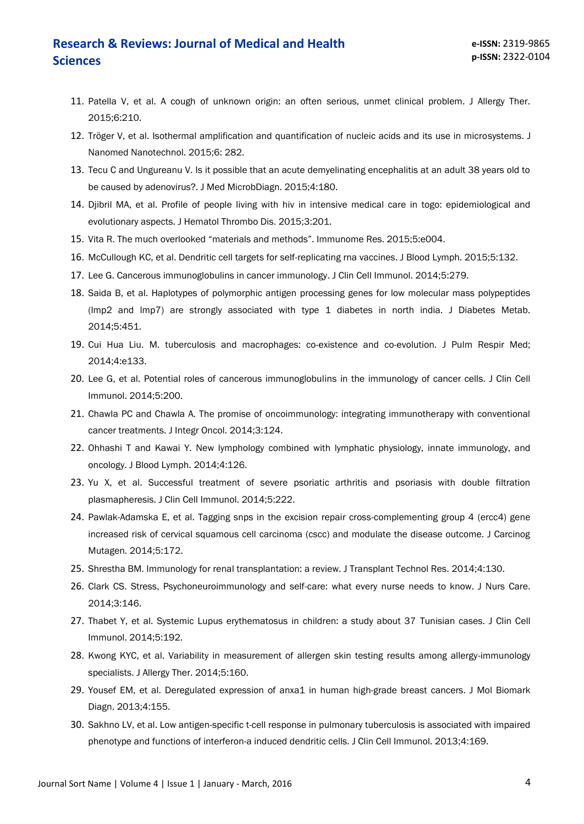- 11. Patella V, et al. A cough of unknown origin: an often serious, unmet clinical problem. J Allergy Ther. 2015;6:210.
- 12. Tröger V, et al. Isothermal amplification and quantification of nucleic acids and its use in microsystems. J Nanomed Nanotechnol. 2015;6: 282.
- 13. Tecu C and Ungureanu V. Is it possible that an acute demyelinating encephalitis at an adult 38 years old to be caused by adenovirus?. J Med MicrobDiagn. 2015;4:180.
- 14. Djibril MA, et al. Profile of people living with hiv in intensive medical care in togo: epidemiological and evolutionary aspects. J Hematol Thrombo Dis. 2015;3:201.
- 15. Vita R. The much overlooked "materials and methods". Immunome Res. 2015;5:e004.
- 16. McCullough KC, et al. Dendritic cell targets for self-replicating rna vaccines. J Blood Lymph. 2015;5:132.
- 17. Lee G. Cancerous immunoglobulins in cancer immunology. J Clin Cell Immunol. 2014;5:279.
- 18. Saida B, et al. Haplotypes of polymorphic antigen processing genes for low molecular mass polypeptides (lmp2 and lmp7) are strongly associated with type 1 diabetes in north india. J Diabetes Metab. 2014;5:451.
- 19. Cui Hua Liu. M. tuberculosis and macrophages: co-existence and co-evolution. J Pulm Respir Med; 2014;4:e133.
- 20. Lee G, et al. Potential roles of cancerous immunoglobulins in the immunology of cancer cells. J Clin Cell Immunol. 2014;5:200.
- 21. Chawla PC and Chawla A. The promise of oncoimmunology: integrating immunotherapy with conventional cancer treatments. J Integr Oncol. 2014;3:124.
- 22. Ohhashi T and Kawai Y. New lymphology combined with lymphatic physiology, innate immunology, and oncology. J Blood Lymph. 2014;4:126.
- 23. Yu X, et al. Successful treatment of severe psoriatic arthritis and psoriasis with double filtration plasmapheresis. J Clin Cell Immunol. 2014;5:222.
- 24. Pawlak-Adamska E, et al. Tagging snps in the excision repair cross-complementing group 4 (ercc4) gene increased risk of cervical squamous cell carcinoma (cscc) and modulate the disease outcome. J Carcinog Mutagen. 2014;5:172.
- 25. Shrestha BM. Immunology for renal transplantation: a review. J Transplant Technol Res. 2014;4:130.
- 26. Clark CS. Stress, Psychoneuroimmunology and self-care: what every nurse needs to know. J Nurs Care. 2014;3:146.
- 27. Thabet Y, et al. Systemic Lupus erythematosus in children: a study about 37 Tunisian cases. J Clin Cell Immunol. 2014;5:192.
- 28. Kwong KYC, et al. Variability in measurement of allergen skin testing results among allergy-immunology specialists. J Allergy Ther. 2014;5:160.
- 29. Yousef EM, et al. Deregulated expression of anxa1 in human high-grade breast cancers. J Mol Biomark Diagn. 2013;4:155.
- 30. Sakhno LV, et al. Low antigen-specific t-cell response in pulmonary tuberculosis is associated with impaired phenotype and functions of interferon-a induced dendritic cells. J Clin Cell Immunol. 2013;4:169.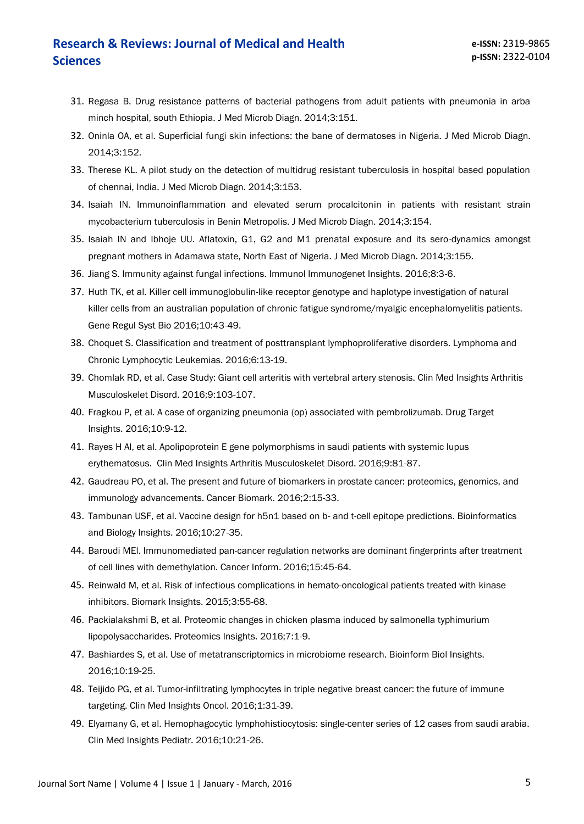- 31. Regasa B. Drug resistance patterns of bacterial pathogens from adult patients with pneumonia in arba minch hospital, south Ethiopia. J Med Microb Diagn. 2014;3:151.
- 32. Oninla OA, et al. Superficial fungi skin infections: the bane of dermatoses in Nigeria. J Med Microb Diagn. 2014;3:152.
- 33. Therese KL. A pilot study on the detection of multidrug resistant tuberculosis in hospital based population of chennai, India. J Med Microb Diagn. 2014;3:153.
- 34. Isaiah IN. Immunoinflammation and elevated serum procalcitonin in patients with resistant strain mycobacterium tuberculosis in Benin Metropolis. J Med Microb Diagn. 2014;3:154.
- 35. Isaiah IN and Ibhoje UU. Aflatoxin, G1, G2 and M1 prenatal exposure and its sero-dynamics amongst pregnant mothers in Adamawa state, North East of Nigeria. J Med Microb Diagn. 2014;3:155.
- 36. Jiang S. Immunity against fungal infections. Immunol Immunogenet Insights. 2016;8:3-6.
- 37. Huth TK, et al. Killer cell immunoglobulin-like receptor genotype and haplotype investigation of natural killer cells from an australian population of chronic fatigue syndrome/myalgic encephalomyelitis patients. Gene Regul Syst Bio 2016;10:43-49.
- 38. Choquet S. Classification and treatment of posttransplant lymphoproliferative disorders. Lymphoma and Chronic Lymphocytic Leukemias. 2016;6:13-19.
- 39. Chomlak RD, et al. Case Study: Giant cell arteritis with vertebral artery stenosis. Clin Med Insights Arthritis Musculoskelet Disord. 2016;9:103-107.
- 40. Fragkou P, et al. A case of organizing pneumonia (op) associated with pembrolizumab. Drug Target Insights. 2016;10:9-12.
- 41. Rayes H Al, et al. Apolipoprotein E gene polymorphisms in saudi patients with systemic lupus erythematosus. Clin Med Insights Arthritis Musculoskelet Disord. 2016;9:81-87.
- 42. Gaudreau PO, et al. The present and future of biomarkers in prostate cancer: proteomics, genomics, and immunology advancements. Cancer Biomark. 2016;2:15-33.
- 43. Tambunan USF, et al. Vaccine design for h5n1 based on b- and t-cell epitope predictions. Bioinformatics and Biology Insights. 2016;10:27-35.
- 44. Baroudi MEl. Immunomediated pan-cancer regulation networks are dominant fingerprints after treatment of cell lines with demethylation. Cancer Inform. 2016;15:45-64.
- 45. Reinwald M, et al. Risk of infectious complications in hemato-oncological patients treated with kinase inhibitors. Biomark Insights. 2015;3:55-68.
- 46. Packialakshmi B, et al. Proteomic changes in chicken plasma induced by salmonella typhimurium lipopolysaccharides. Proteomics Insights. 2016;7:1-9.
- 47. Bashiardes S, et al. Use of metatranscriptomics in microbiome research. Bioinform Biol Insights. 2016;10:19-25.
- 48. Teijido PG, et al. Tumor-infiltrating lymphocytes in triple negative breast cancer: the future of immune targeting. Clin Med Insights Oncol. 2016;1:31-39.
- 49. Elyamany G, et al. Hemophagocytic lymphohistiocytosis: single-center series of 12 cases from saudi arabia. Clin Med Insights Pediatr. 2016;10:21-26.